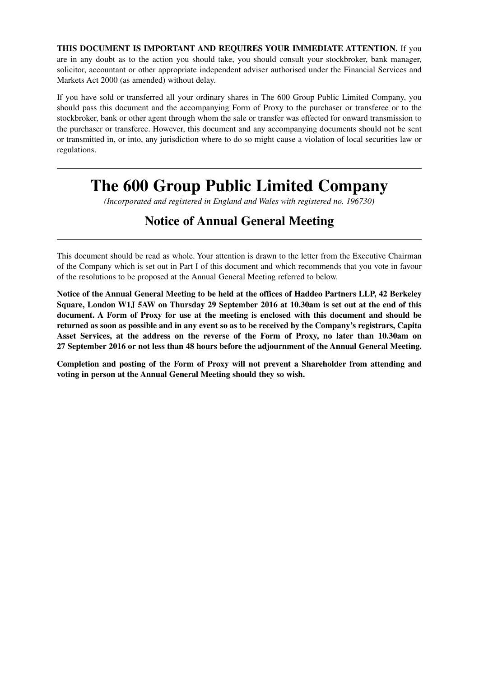**THIS DOCUMENT IS IMPORTANT AND REQUIRES YOUR IMMEDIATE ATTENTION.** If you are in any doubt as to the action you should take, you should consult your stockbroker, bank manager, solicitor, accountant or other appropriate independent adviser authorised under the Financial Services and Markets Act 2000 (as amended) without delay.

If you have sold or transferred all your ordinary shares in The 600 Group Public Limited Company, you should pass this document and the accompanying Form of Proxy to the purchaser or transferee or to the stockbroker, bank or other agent through whom the sale or transfer was effected for onward transmission to the purchaser or transferee. However, this document and any accompanying documents should not be sent or transmitted in, or into, any jurisdiction where to do so might cause a violation of local securities law or regulations.

# **The 600 Group Public Limited Company**

*(Incorporated and registered in England and Wales with registered no. 196730)*

## **Notice of Annual General Meeting**

This document should be read as whole. Your attention is drawn to the letter from the Executive Chairman of the Company which is set out in Part I of this document and which recommends that you vote in favour of the resolutions to be proposed at the Annual General Meeting referred to below.

**Notice of the Annual General Meeting to be held at the offices of Haddeo Partners LLP, 42 Berkeley Square, London W1J 5AW on Thursday 29 September 2016 at 10.30am is set out at the end of this document. A Form of Proxy for use at the meeting is enclosed with this document and should be returned as soon as possible and in any event so as to be received by the Company's registrars, Capita Asset Services, at the address on the reverse of the Form of Proxy, no later than 10.30am on 27 September 2016 or not less than 48 hours before the adjournment of the Annual General Meeting.**

**Completion and posting of the Form of Proxy will not prevent a Shareholder from attending and voting in person at the Annual General Meeting should they so wish.**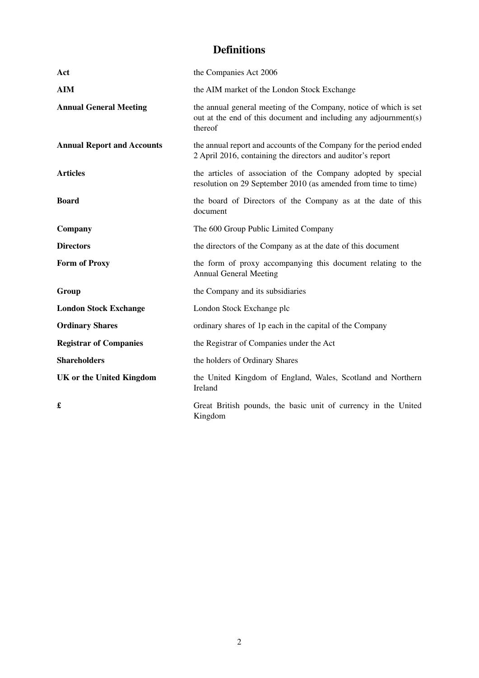## **Definitions**

| Act                               | the Companies Act 2006                                                                                                                           |
|-----------------------------------|--------------------------------------------------------------------------------------------------------------------------------------------------|
| <b>AIM</b>                        | the AIM market of the London Stock Exchange                                                                                                      |
| <b>Annual General Meeting</b>     | the annual general meeting of the Company, notice of which is set<br>out at the end of this document and including any adjournment(s)<br>thereof |
| <b>Annual Report and Accounts</b> | the annual report and accounts of the Company for the period ended<br>2 April 2016, containing the directors and auditor's report                |
| <b>Articles</b>                   | the articles of association of the Company adopted by special<br>resolution on 29 September 2010 (as amended from time to time)                  |
| <b>Board</b>                      | the board of Directors of the Company as at the date of this<br>document                                                                         |
| Company                           | The 600 Group Public Limited Company                                                                                                             |
| <b>Directors</b>                  | the directors of the Company as at the date of this document                                                                                     |
| <b>Form of Proxy</b>              | the form of proxy accompanying this document relating to the<br><b>Annual General Meeting</b>                                                    |
| Group                             | the Company and its subsidiaries                                                                                                                 |
| <b>London Stock Exchange</b>      | London Stock Exchange plc                                                                                                                        |
| <b>Ordinary Shares</b>            | ordinary shares of 1p each in the capital of the Company                                                                                         |
| <b>Registrar of Companies</b>     | the Registrar of Companies under the Act                                                                                                         |
| <b>Shareholders</b>               | the holders of Ordinary Shares                                                                                                                   |
| <b>UK or the United Kingdom</b>   | the United Kingdom of England, Wales, Scotland and Northern<br>Ireland                                                                           |
| £                                 | Great British pounds, the basic unit of currency in the United<br>Kingdom                                                                        |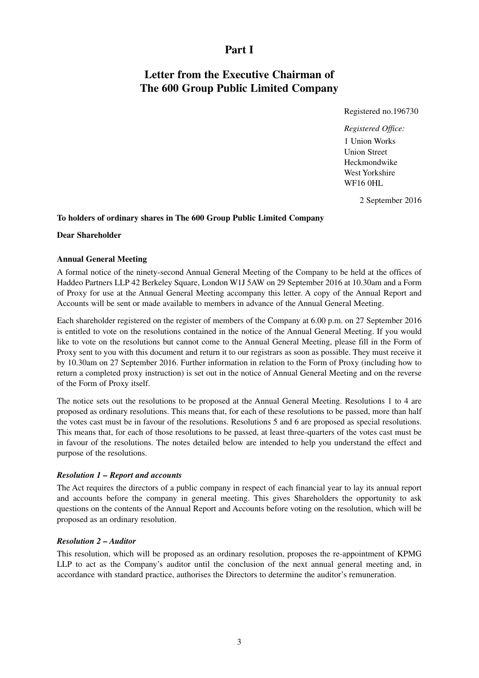### **Part I**

## **Letter from the Executive Chairman of The 600 Group Public Limited Company**

Registered no.196730

*Registered Office:* 1 Union Works Union Street Heckmondwike West Yorkshire WF16 0HL

2 September 2016

#### **To holders of ordinary shares in The 600 Group Public Limited Company**

#### **Dear Shareholder**

#### **Annual General Meeting**

A formal notice of the ninety-second Annual General Meeting of the Company to be held at the offices of Haddeo Partners LLP 42 Berkeley Square, London W1J 5AW on 29 September 2016 at 10.30am and a Form of Proxy for use at the Annual General Meeting accompany this letter. A copy of the Annual Report and Accounts will be sent or made available to members in advance of the Annual General Meeting.

Each shareholder registered on the register of members of the Company at 6.00 p.m. on 27 September 2016 is entitled to vote on the resolutions contained in the notice of the Annual General Meeting. If you would like to vote on the resolutions but cannot come to the Annual General Meeting, please fill in the Form of Proxy sent to you with this document and return it to our registrars as soon as possible. They must receive it by 10.30am on 27 September 2016. Further information in relation to the Form of Proxy (including how to return a completed proxy instruction) is set out in the notice of Annual General Meeting and on the reverse of the Form of Proxy itself.

The notice sets out the resolutions to be proposed at the Annual General Meeting. Resolutions 1 to 4 are proposed as ordinary resolutions. This means that, for each of these resolutions to be passed, more than half the votes cast must be in favour of the resolutions. Resolutions 5 and 6 are proposed as special resolutions. This means that, for each of those resolutions to be passed, at least three-quarters of the votes cast must be in favour of the resolutions. The notes detailed below are intended to help you understand the effect and purpose of the resolutions.

#### *Resolution 1 – Report and accounts*

The Act requires the directors of a public company in respect of each financial year to lay its annual report and accounts before the company in general meeting. This gives Shareholders the opportunity to ask questions on the contents of the Annual Report and Accounts before voting on the resolution, which will be proposed as an ordinary resolution.

#### *Resolution 2 – Auditor*

This resolution, which will be proposed as an ordinary resolution, proposes the re-appointment of KPMG LLP to act as the Company's auditor until the conclusion of the next annual general meeting and, in accordance with standard practice, authorises the Directors to determine the auditor's remuneration.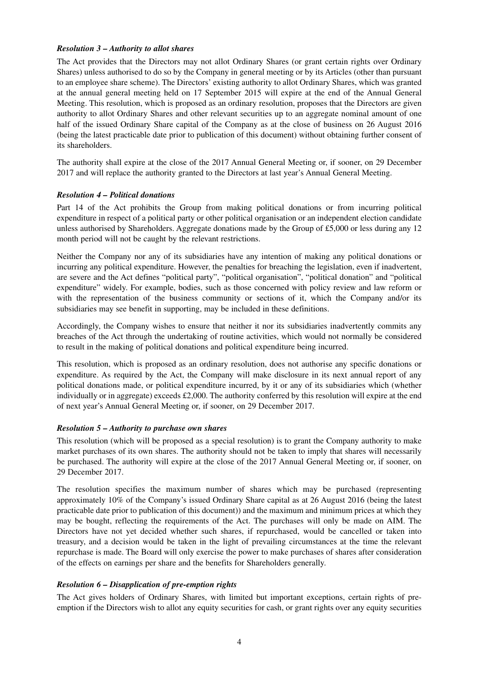#### *Resolution 3 – Authority to allot shares*

The Act provides that the Directors may not allot Ordinary Shares (or grant certain rights over Ordinary Shares) unless authorised to do so by the Company in general meeting or by its Articles (other than pursuant to an employee share scheme). The Directors' existing authority to allot Ordinary Shares, which was granted at the annual general meeting held on 17 September 2015 will expire at the end of the Annual General Meeting. This resolution, which is proposed as an ordinary resolution, proposes that the Directors are given authority to allot Ordinary Shares and other relevant securities up to an aggregate nominal amount of one half of the issued Ordinary Share capital of the Company as at the close of business on 26 August 2016 (being the latest practicable date prior to publication of this document) without obtaining further consent of its shareholders.

The authority shall expire at the close of the 2017 Annual General Meeting or, if sooner, on 29 December 2017 and will replace the authority granted to the Directors at last year's Annual General Meeting.

#### *Resolution 4 – Political donations*

Part 14 of the Act prohibits the Group from making political donations or from incurring political expenditure in respect of a political party or other political organisation or an independent election candidate unless authorised by Shareholders. Aggregate donations made by the Group of £5,000 or less during any 12 month period will not be caught by the relevant restrictions.

Neither the Company nor any of its subsidiaries have any intention of making any political donations or incurring any political expenditure. However, the penalties for breaching the legislation, even if inadvertent, are severe and the Act defines "political party", "political organisation", "political donation" and "political expenditure" widely. For example, bodies, such as those concerned with policy review and law reform or with the representation of the business community or sections of it, which the Company and/or its subsidiaries may see benefit in supporting, may be included in these definitions.

Accordingly, the Company wishes to ensure that neither it nor its subsidiaries inadvertently commits any breaches of the Act through the undertaking of routine activities, which would not normally be considered to result in the making of political donations and political expenditure being incurred.

This resolution, which is proposed as an ordinary resolution, does not authorise any specific donations or expenditure. As required by the Act, the Company will make disclosure in its next annual report of any political donations made, or political expenditure incurred, by it or any of its subsidiaries which (whether individually or in aggregate) exceeds £2,000. The authority conferred by this resolution will expire at the end of next year's Annual General Meeting or, if sooner, on 29 December 2017.

#### *Resolution 5 – Authority to purchase own shares*

This resolution (which will be proposed as a special resolution) is to grant the Company authority to make market purchases of its own shares. The authority should not be taken to imply that shares will necessarily be purchased. The authority will expire at the close of the 2017 Annual General Meeting or, if sooner, on 29 December 2017.

The resolution specifies the maximum number of shares which may be purchased (representing approximately 10% of the Company's issued Ordinary Share capital as at 26 August 2016 (being the latest practicable date prior to publication of this document)) and the maximum and minimum prices at which they may be bought, reflecting the requirements of the Act. The purchases will only be made on AIM. The Directors have not yet decided whether such shares, if repurchased, would be cancelled or taken into treasury, and a decision would be taken in the light of prevailing circumstances at the time the relevant repurchase is made. The Board will only exercise the power to make purchases of shares after consideration of the effects on earnings per share and the benefits for Shareholders generally.

#### *Resolution 6 – Disapplication of pre-emption rights*

The Act gives holders of Ordinary Shares, with limited but important exceptions, certain rights of preemption if the Directors wish to allot any equity securities for cash, or grant rights over any equity securities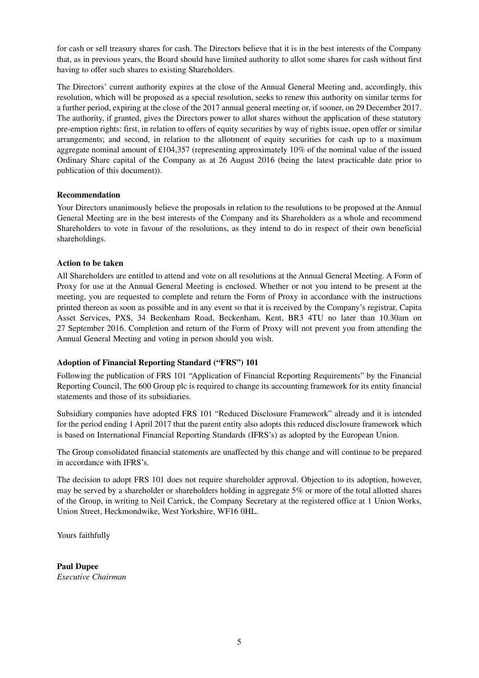for cash or sell treasury shares for cash. The Directors believe that it is in the best interests of the Company that, as in previous years, the Board should have limited authority to allot some shares for cash without first having to offer such shares to existing Shareholders.

The Directors' current authority expires at the close of the Annual General Meeting and, accordingly, this resolution, which will be proposed as a special resolution, seeks to renew this authority on similar terms for a further period, expiring at the close of the 2017 annual general meeting or, if sooner, on 29 December 2017. The authority, if granted, gives the Directors power to allot shares without the application of these statutory pre-emption rights: first, in relation to offers of equity securities by way of rights issue, open offer or similar arrangements; and second, in relation to the allotment of equity securities for cash up to a maximum aggregate nominal amount of £104,357 (representing approximately 10% of the nominal value of the issued Ordinary Share capital of the Company as at 26 August 2016 (being the latest practicable date prior to publication of this document)).

#### **Recommendation**

Your Directors unanimously believe the proposals in relation to the resolutions to be proposed at the Annual General Meeting are in the best interests of the Company and its Shareholders as a whole and recommend Shareholders to vote in favour of the resolutions, as they intend to do in respect of their own beneficial shareholdings.

#### **Action to be taken**

All Shareholders are entitled to attend and vote on all resolutions at the Annual General Meeting. A Form of Proxy for use at the Annual General Meeting is enclosed. Whether or not you intend to be present at the meeting, you are requested to complete and return the Form of Proxy in accordance with the instructions printed thereon as soon as possible and in any event so that it is received by the Company's registrar, Capita Asset Services, PXS, 34 Beckenham Road, Beckenham, Kent, BR3 4TU no later than 10.30am on 27 September 2016. Completion and return of the Form of Proxy will not prevent you from attending the Annual General Meeting and voting in person should you wish.

#### **Adoption of Financial Reporting Standard ("FRS") 101**

Following the publication of FRS 101 "Application of Financial Reporting Requirements" by the Financial Reporting Council, The 600 Group plc is required to change its accounting framework for its entity financial statements and those of its subsidiaries.

Subsidiary companies have adopted FRS 101 "Reduced Disclosure Framework" already and it is intended for the period ending 1 April 2017 that the parent entity also adopts this reduced disclosure framework which is based on International Financial Reporting Standards (IFRS's) as adopted by the European Union.

The Group consolidated financial statements are unaffected by this change and will continue to be prepared in accordance with IFRS's.

The decision to adopt FRS 101 does not require shareholder approval. Objection to its adoption, however, may be served by a shareholder or shareholders holding in aggregate 5% or more of the total allotted shares of the Group, in writing to Neil Carrick, the Company Secretary at the registered office at 1 Union Works, Union Street, Heckmondwike, West Yorkshire, WF16 0HL.

Yours faithfully

**Paul Dupee** *Executive Chairman*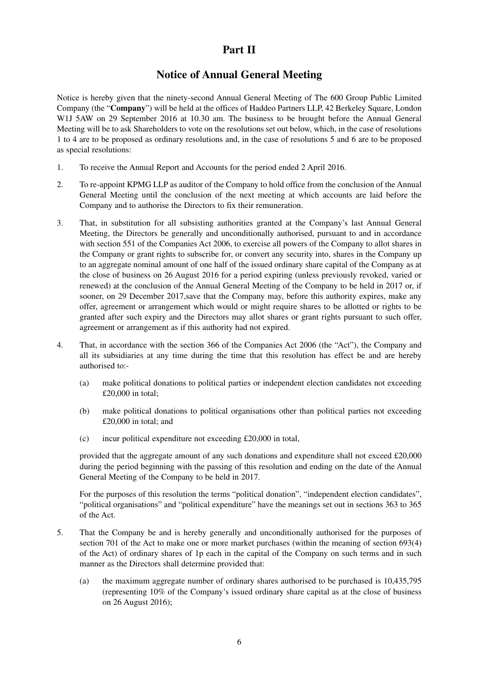### **Part II**

### **Notice of Annual General Meeting**

Notice is hereby given that the ninety-second Annual General Meeting of The 600 Group Public Limited Company (the "**Company**") will be held at the offices of Haddeo Partners LLP, 42 Berkeley Square, London W1J 5AW on 29 September 2016 at 10.30 am. The business to be brought before the Annual General Meeting will be to ask Shareholders to vote on the resolutions set out below, which, in the case of resolutions 1 to 4 are to be proposed as ordinary resolutions and, in the case of resolutions 5 and 6 are to be proposed as special resolutions:

- 1. To receive the Annual Report and Accounts for the period ended 2 April 2016.
- 2. To re-appoint KPMG LLP as auditor of the Company to hold office from the conclusion of the Annual General Meeting until the conclusion of the next meeting at which accounts are laid before the Company and to authorise the Directors to fix their remuneration.
- 3. That, in substitution for all subsisting authorities granted at the Company's last Annual General Meeting, the Directors be generally and unconditionally authorised, pursuant to and in accordance with section 551 of the Companies Act 2006, to exercise all powers of the Company to allot shares in the Company or grant rights to subscribe for, or convert any security into, shares in the Company up to an aggregate nominal amount of one half of the issued ordinary share capital of the Company as at the close of business on 26 August 2016 for a period expiring (unless previously revoked, varied or renewed) at the conclusion of the Annual General Meeting of the Company to be held in 2017 or, if sooner, on 29 December 2017, save that the Company may, before this authority expires, make any offer, agreement or arrangement which would or might require shares to be allotted or rights to be granted after such expiry and the Directors may allot shares or grant rights pursuant to such offer, agreement or arrangement as if this authority had not expired.
- 4. That, in accordance with the section 366 of the Companies Act 2006 (the "Act"), the Company and all its subsidiaries at any time during the time that this resolution has effect be and are hereby authorised to:-
	- (a) make political donations to political parties or independent election candidates not exceeding £20,000 in total;
	- (b) make political donations to political organisations other than political parties not exceeding £20,000 in total; and
	- (c) incur political expenditure not exceeding £20,000 in total,

provided that the aggregate amount of any such donations and expenditure shall not exceed £20,000 during the period beginning with the passing of this resolution and ending on the date of the Annual General Meeting of the Company to be held in 2017.

For the purposes of this resolution the terms "political donation", "independent election candidates", "political organisations" and "political expenditure" have the meanings set out in sections 363 to 365 of the Act.

- 5. That the Company be and is hereby generally and unconditionally authorised for the purposes of section 701 of the Act to make one or more market purchases (within the meaning of section 693(4) of the Act) of ordinary shares of 1p each in the capital of the Company on such terms and in such manner as the Directors shall determine provided that:
	- (a) the maximum aggregate number of ordinary shares authorised to be purchased is 10,435,795 (representing 10% of the Company's issued ordinary share capital as at the close of business on 26 August 2016);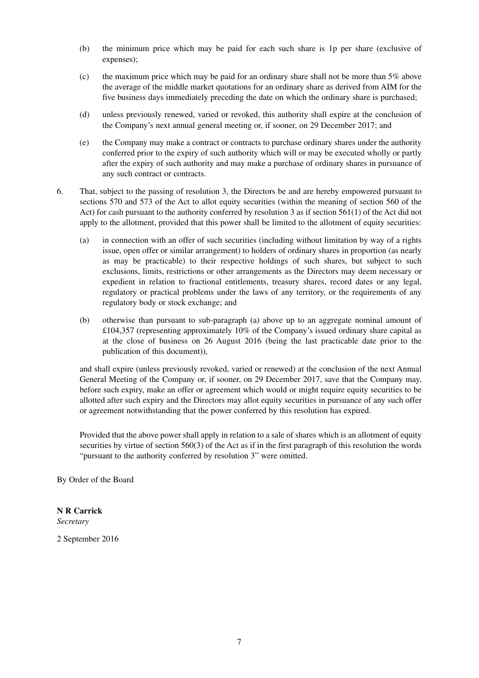- (b) the minimum price which may be paid for each such share is 1p per share (exclusive of expenses);
- (c) the maximum price which may be paid for an ordinary share shall not be more than  $5\%$  above the average of the middle market quotations for an ordinary share as derived from AIM for the five business days immediately preceding the date on which the ordinary share is purchased;
- (d) unless previously renewed, varied or revoked, this authority shall expire at the conclusion of the Company's next annual general meeting or, if sooner, on 29 December 2017; and
- (e) the Company may make a contract or contracts to purchase ordinary shares under the authority conferred prior to the expiry of such authority which will or may be executed wholly or partly after the expiry of such authority and may make a purchase of ordinary shares in pursuance of any such contract or contracts.
- 6. That, subject to the passing of resolution 3, the Directors be and are hereby empowered pursuant to sections 570 and 573 of the Act to allot equity securities (within the meaning of section 560 of the Act) for cash pursuant to the authority conferred by resolution 3 as if section 561(1) of the Act did not apply to the allotment, provided that this power shall be limited to the allotment of equity securities:
	- (a) in connection with an offer of such securities (including without limitation by way of a rights issue, open offer or similar arrangement) to holders of ordinary shares in proportion (as nearly as may be practicable) to their respective holdings of such shares, but subject to such exclusions, limits, restrictions or other arrangements as the Directors may deem necessary or expedient in relation to fractional entitlements, treasury shares, record dates or any legal, regulatory or practical problems under the laws of any territory, or the requirements of any regulatory body or stock exchange; and
	- (b) otherwise than pursuant to sub-paragraph (a) above up to an aggregate nominal amount of £104,357 (representing approximately 10% of the Company's issued ordinary share capital as at the close of business on 26 August 2016 (being the last practicable date prior to the publication of this document)),

and shall expire (unless previously revoked, varied or renewed) at the conclusion of the next Annual General Meeting of the Company or, if sooner, on 29 December 2017, save that the Company may, before such expiry, make an offer or agreement which would or might require equity securities to be allotted after such expiry and the Directors may allot equity securities in pursuance of any such offer or agreement notwithstanding that the power conferred by this resolution has expired.

Provided that the above power shall apply in relation to a sale of shares which is an allotment of equity securities by virtue of section 560(3) of the Act as if in the first paragraph of this resolution the words "pursuant to the authority conferred by resolution 3" were omitted.

By Order of the Board

## **N R Carrick**

*Secretary*

2 September 2016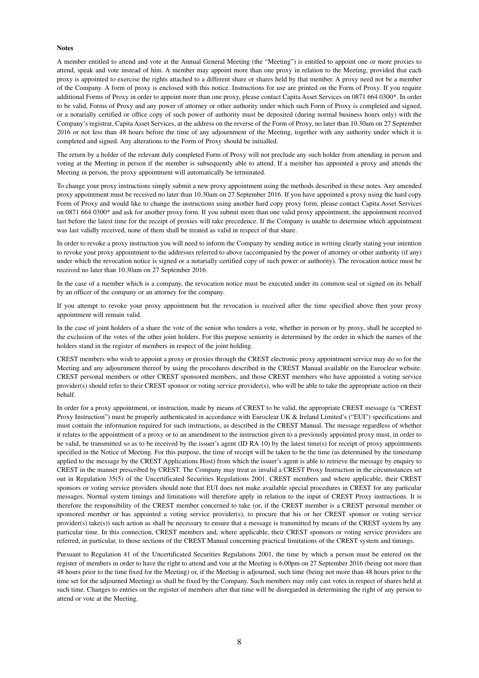#### **Notes**

A member entitled to attend and vote at the Annual General Meeting (the "Meeting") is entitled to appoint one or more proxies to attend, speak and vote instead of him. A member may appoint more than one proxy in relation to the Meeting, provided that each proxy is appointed to exercise the rights attached to a different share or shares held by that member. A proxy need not be a member of the Company. A form of proxy is enclosed with this notice. Instructions for use are printed on the Form of Proxy. If you require additional Forms of Proxy in order to appoint more than one proxy, please contact Capita Asset Services on 0871 664 0300\*. In order to be valid, Forms of Proxy and any power of attorney or other authority under which such Form of Proxy is completed and signed, or a notarially certified or office copy of such power of authority must be deposited (during normal business hours only) with the Company's registrar, Capita Asset Services, at the address on the reverse of the Form of Proxy, no later than 10.30am on 27 September 2016 or not less than 48 hours before the time of any adjournment of the Meeting, together with any authority under which it is completed and signed. Any alterations to the Form of Proxy should be initialled.

The return by a holder of the relevant duly completed Form of Proxy will not preclude any such holder from attending in person and voting at the Meeting in person if the member is subsequently able to attend. If a member has appointed a proxy and attends the Meeting in person, the proxy appointment will automatically be terminated.

To change your proxy instructions simply submit a new proxy appointment using the methods described in these notes. Any amended proxy appointment must be received no later than 10.30am on 27 September 2016. If you have appointed a proxy using the hard copy Form of Proxy and would like to change the instructions using another hard copy proxy form, please contact Capita Asset Services on 0871 664 0300\* and ask for another proxy form. If you submit more than one valid proxy appointment, the appointment received last before the latest time for the receipt of proxies will take precedence. If the Company is unable to determine which appointment was last validly received, none of them shall be treated as valid in respect of that share.

In order to revoke a proxy instruction you will need to inform the Company by sending notice in writing clearly stating your intention to revoke your proxy appointment to the addresses referred to above (accompanied by the power of attorney or other authority (if any) under which the revocation notice is signed or a notarially certified copy of such power or authority). The revocation notice must be received no later than 10.30am on 27 September 2016.

In the case of a member which is a company, the revocation notice must be executed under its common seal or signed on its behalf by an officer of the company or an attorney for the company.

If you attempt to revoke your proxy appointment but the revocation is received after the time specified above then your proxy appointment will remain valid.

In the case of joint holders of a share the vote of the senior who tenders a vote, whether in person or by proxy, shall be accepted to the exclusion of the votes of the other joint holders. For this purpose seniority is determined by the order in which the names of the holders stand in the register of members in respect of the joint holding.

CREST members who wish to appoint a proxy or proxies through the CREST electronic proxy appointment service may do so for the Meeting and any adjournment thereof by using the procedures described in the CREST Manual available on the Euroclear website. CREST personal members or other CREST sponsored members, and those CREST members who have appointed a voting service provider(s) should refer to their CREST sponsor or voting service provider(s), who will be able to take the appropriate action on their behalf.

In order for a proxy appointment, or instruction, made by means of CREST to be valid, the appropriate CREST message (a "CREST Proxy Instruction") must be properly authenticated in accordance with Euroclear UK & Ireland Limited's ("EUI") specifications and must contain the information required for such instructions, as described in the CREST Manual. The message regardless of whether it relates to the appointment of a proxy or to an amendment to the instruction given to a previously appointed proxy must, in order to be valid, be transmitted so as to be received by the issuer's agent (ID RA 10) by the latest time(s) for receipt of proxy appointments specified in the Notice of Meeting. For this purpose, the time of receipt will be taken to be the time (as determined by the timestamp applied to the message by the CREST Applications Host) from which the issuer's agent is able to retrieve the message by enquiry to CREST in the manner prescribed by CREST. The Company may treat as invalid a CREST Proxy Instruction in the circumstances set out in Regulation 35(5) of the Uncertificated Securities Regulations 2001. CREST members and where applicable, their CREST sponsors or voting service providers should note that EUI does not make available special procedures in CREST for any particular messages. Normal system timings and limitations will therefore apply in relation to the input of CREST Proxy instructions. It is therefore the responsibility of the CREST member concerned to take (or, if the CREST member is a CREST personal member or sponsored member or has appointed a voting service provider(s), to procure that his or her CREST sponsor or voting service provider(s) take(s)) such action as shall be necessary to ensure that a message is transmitted by means of the CREST system by any particular time. In this connection, CREST members and, where applicable, their CREST sponsors or voting service providers are referred, in particular, to those sections of the CREST Manual concerning practical limitations of the CREST system and timings.

Pursuant to Regulation 41 of the Uncertificated Securities Regulations 2001, the time by which a person must be entered on the register of members in order to have the right to attend and vote at the Meeting is 6.00pm on 27 September 2016 (being not more than 48 hours prior to the time fixed for the Meeting) or, if the Meeting is adjourned, such time (being not more than 48 hours prior to the time set for the adjourned Meeting) as shall be fixed by the Company. Such members may only cast votes in respect of shares held at such time. Changes to entries on the register of members after that time will be disregarded in determining the right of any person to attend or vote at the Meeting.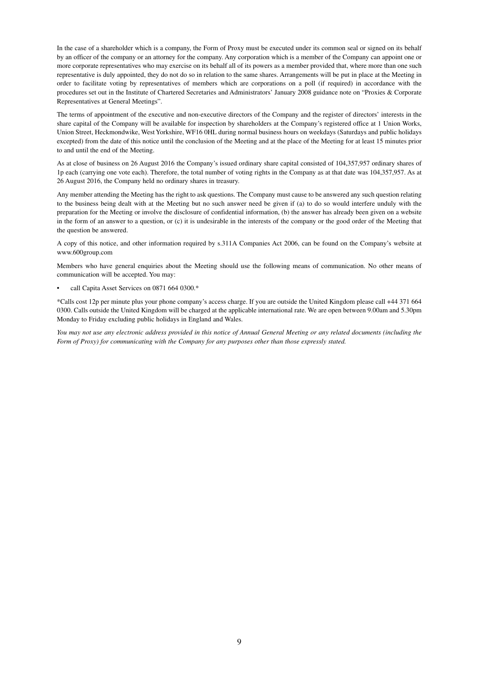In the case of a shareholder which is a company, the Form of Proxy must be executed under its common seal or signed on its behalf by an officer of the company or an attorney for the company. Any corporation which is a member of the Company can appoint one or more corporate representatives who may exercise on its behalf all of its powers as a member provided that, where more than one such representative is duly appointed, they do not do so in relation to the same shares. Arrangements will be put in place at the Meeting in order to facilitate voting by representatives of members which are corporations on a poll (if required) in accordance with the procedures set out in the Institute of Chartered Secretaries and Administrators' January 2008 guidance note on "Proxies & Corporate Representatives at General Meetings".

The terms of appointment of the executive and non-executive directors of the Company and the register of directors' interests in the share capital of the Company will be available for inspection by shareholders at the Company's registered office at 1 Union Works, Union Street, Heckmondwike, West Yorkshire, WF16 0HL during normal business hours on weekdays (Saturdays and public holidays excepted) from the date of this notice until the conclusion of the Meeting and at the place of the Meeting for at least 15 minutes prior to and until the end of the Meeting.

As at close of business on 26 August 2016 the Company's issued ordinary share capital consisted of 104,357,957 ordinary shares of 1p each (carrying one vote each). Therefore, the total number of voting rights in the Company as at that date was 104,357,957. As at 26 August 2016, the Company held no ordinary shares in treasury.

Any member attending the Meeting has the right to ask questions. The Company must cause to be answered any such question relating to the business being dealt with at the Meeting but no such answer need be given if (a) to do so would interfere unduly with the preparation for the Meeting or involve the disclosure of confidential information, (b) the answer has already been given on a website in the form of an answer to a question, or (c) it is undesirable in the interests of the company or the good order of the Meeting that the question be answered.

A copy of this notice, and other information required by s.311A Companies Act 2006, can be found on the Company's website at www.600group.com

Members who have general enquiries about the Meeting should use the following means of communication. No other means of communication will be accepted. You may:

• call Capita Asset Services on 0871 664 0300.\*

\*Calls cost 12p per minute plus your phone company's access charge. If you are outside the United Kingdom please call +44 371 664 0300. Calls outside the United Kingdom will be charged at the applicable international rate. We are open between 9.00am and 5.30pm Monday to Friday excluding public holidays in England and Wales.

*You may not use any electronic address provided in this notice of Annual General Meeting or any related documents (including the Form of Proxy) for communicating with the Company for any purposes other than those expressly stated.*